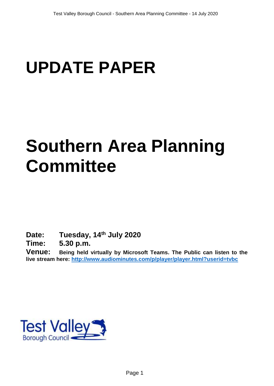# **UPDATE PAPER**

# **Southern Area Planning Committee**

**Date: Tuesday, 14th July 2020**

**Time: 5.30 p.m.**

**Venue: Being held virtually by Microsoft Teams. The Public can listen to the live stream here:<http://www.audiominutes.com/p/player/player.html?userid=tvbc>**

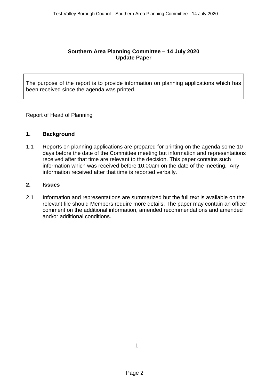### **Southern Area Planning Committee – 14 July 2020 Update Paper**

The purpose of the report is to provide information on planning applications which has been received since the agenda was printed.

Report of Head of Planning

#### **1. Background**

1.1 Reports on planning applications are prepared for printing on the agenda some 10 days before the date of the Committee meeting but information and representations received after that time are relevant to the decision. This paper contains such information which was received before 10.00am on the date of the meeting. Any information received after that time is reported verbally.

### **2. Issues**

2.1 Information and representations are summarized but the full text is available on the relevant file should Members require more details. The paper may contain an officer comment on the additional information, amended recommendations and amended and/or additional conditions.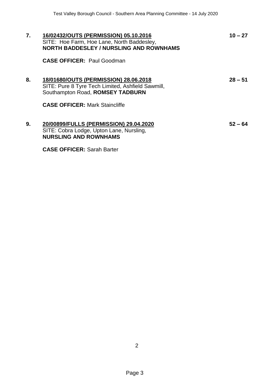| 7. | 16/02432/OUTS (PERMISSION) 05.10.2016<br>SITE: Hoe Farm, Hoe Lane, North Baddesley,<br><b>NORTH BADDESLEY / NURSLING AND ROWNHAMS</b>                                   | $10 - 27$ |
|----|-------------------------------------------------------------------------------------------------------------------------------------------------------------------------|-----------|
|    | <b>CASE OFFICER: Paul Goodman</b>                                                                                                                                       |           |
| 8. | 18/01680/OUTS (PERMISSION) 28.06.2018<br>SITE: Pure 8 Tyre Tech Limited, Ashfield Sawmill,<br>Southampton Road, ROMSEY TADBURN<br><b>CASE OFFICER: Mark Staincliffe</b> | $28 - 51$ |
| 9. | 20/00899/FULLS (PERMISSION) 29.04.2020<br>SITE: Cobra Lodge, Upton Lane, Nursling,<br><b>NURSLING AND ROWNHAMS</b>                                                      | $52 - 64$ |
|    | <b>CASE OFFICER: Sarah Barter</b>                                                                                                                                       |           |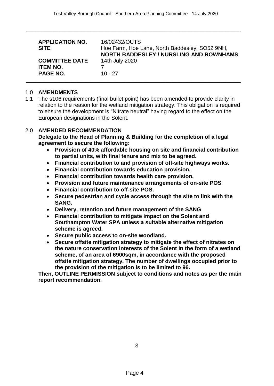\_\_\_\_\_\_\_\_\_\_\_\_\_\_\_\_\_\_\_\_\_\_\_\_\_\_\_\_\_\_\_\_\_\_\_\_\_\_\_\_\_\_\_\_\_\_\_\_\_\_\_\_\_\_\_\_\_\_\_\_\_\_\_\_\_\_\_\_\_\_

| <b>APPLICATION NO.</b><br><b>SITE</b> | 16/02432/OUTS<br>Hoe Farm, Hoe Lane, North Baddesley, SO52 9NH,<br><b>NORTH BADDESLEY / NURSLING AND ROWNHAMS</b> |
|---------------------------------------|-------------------------------------------------------------------------------------------------------------------|
| <b>COMMITTEE DATE</b>                 | 14th July 2020                                                                                                    |
| <b>ITEM NO.</b>                       |                                                                                                                   |
| <b>PAGE NO.</b>                       | $10 - 27$                                                                                                         |
|                                       |                                                                                                                   |

#### 1.0 **AMENDMENTS**

1.1 The s106 requirements (final bullet point) has been amended to provide clarity in relation to the reason for the wetland mitigation strategy. This obligation is required to ensure the development is "Nitrate neutral" having regard to the effect on the European designations in the Solent.

#### 2.0 **AMENDED RECOMMENDATION**

**Delegate to the Head of Planning & Building for the completion of a legal agreement to secure the following:**

- **Provision of 40% affordable housing on site and financial contribution to partial units, with final tenure and mix to be agreed.**
- **Financial contribution to and provision of off-site highways works.**
- **Financial contribution towards education provision.**
- **Financial contribution towards health care provision.**
- **Provision and future maintenance arrangements of on-site POS**
- **Financial contribution to off-site POS.**
- **Secure pedestrian and cycle access through the site to link with the SANG.**
- **Delivery, retention and future management of the SANG**
- **Financial contribution to mitigate impact on the Solent and Southampton Water SPA unless a suitable alternative mitigation scheme is agreed.**
- **Secure public access to on-site woodland.**
- **Secure offsite mitigation strategy to mitigate the effect of nitrates on the nature conservation interests of the Solent in the form of a wetland scheme, of an area of 6900sqm, in accordance with the proposed offsite mitigation strategy. The number of dwellings occupied prior to the provision of the mitigation is to be limited to 96.**

**Then, OUTLINE PERMISSION subject to conditions and notes as per the main report recommendation.**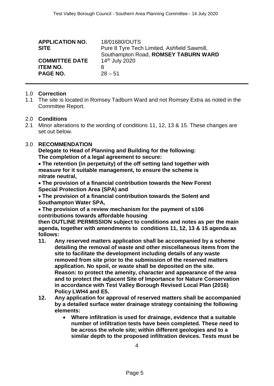| <b>APPLICATION NO.</b><br><b>SITE</b> | 18/01680/OUTS<br>Pure 8 Tyre Tech Limited, Ashfield Sawmill,<br>Southampton Road, ROMSEY TABURN WARD |
|---------------------------------------|------------------------------------------------------------------------------------------------------|
| <b>COMMITTEE DATE</b>                 | 14 <sup>th</sup> July 2020                                                                           |
| <b>ITEM NO.</b>                       | 8                                                                                                    |
| <b>PAGE NO.</b>                       | $28 - 51$                                                                                            |

#### 1.0 **Correction**

1.1 The site is located in Romsey Tadburn Ward and not Romsey Extra as noted in the Committee Report.

#### 2.0 **Conditions**

2.1 Minor alterations to the wording of conditions 11, 12, 13 & 15. These changes are set out below.

## 3.0 **RECOMMENDATION**

**Delegate to Head of Planning and Building for the following: The completion of a legal agreement to secure:**

 **The retention (in perpetuity) of the off setting land together with measure for it suitable management, to ensure the scheme is nitrate neutral,**

 **The provision of a financial contribution towards the New Forest Special Protection Area (SPA) and**

 **The provision of a financial contribution towards the Solent and Southampton Water SPA,**

 **The provision of a review mechanism for the payment of s106 contributions towards affordable housing**

**then OUTLINE PERMISSION subject to conditions and notes as per the main agenda, together with amendments to conditions 11, 12, 13 & 15 agenda as follows:**

- **11. Any reserved matters application shall be accompanied by a scheme detailing the removal of waste and other miscellaneous items from the site to facilitate the development including details of any waste removed from site prior to the submission of the reserved matters application. No spoil, or waste shall be deposited on the site. Reason: to protect the amenity, character and appearance of the area and to protect the adjacent Site of Importance for Nature Conservation in accordance with Test Valley Borough Revised Local Plan (2016) Policy LWH4 and E5.**
- **12. Any application for approval of reserved matters shall be accompanied by a detailed surface water drainage strategy containing the following elements:**
	- **Where infiltration is used for drainage, evidence that a suitable number of infiltration tests have been completed. These need to be across the whole site; within different geologies and to a similar depth to the proposed infiltration devices. Tests must be**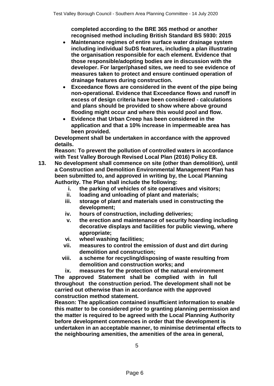**completed according to the BRE 365 method or another recognised method including British Standard BS 5930: 2015**

- **Maintenance regimes of entire surface water drainage system including individual SuDS features, including a plan illustrating the organisation responsible for each element. Evidence that those responsible/adopting bodies are in discussion with the developer. For larger/phased sites, we need to see evidence of measures taken to protect and ensure continued operation of drainage features during construction.**
- **Exceedance flows are considered in the event of the pipe being non-operational. Evidence that Exceedance flows and runoff in excess of design criteria have been considered - calculations and plans should be provided to show where above ground flooding might occur and where this would pool and flow.**
- **Evidence that Urban Creep has been considered in the application and that a 10% increase in impermeable area has been provided.**

**Development shall be undertaken in accordance with the approved details.**

**Reason: To prevent the pollution of controlled waters in accordance with Test Valley Borough Revised Local Plan (2016) Policy E8.**

- **13. No development shall commence on site (other than demolition), until a Construction and Demolition Environmental Management Plan has been submitted to, and approved in writing by, the Local Planning Authority. The Plan shall include the following:**
	- **i. the parking of vehicles of site operatives and visitors;**
	- **ii. loading and unloading of plant and materials;**
	- **iii. storage of plant and materials used in constructing the development;**
	- **iv. hours of construction, including deliveries;**
	- **v. the erection and maintenance of security hoarding including decorative displays and facilities for public viewing, where appropriate;**
	- **vi. wheel washing facilities;**
	- **vii. measures to control the emission of dust and dirt during demolition and construction;**
	- **viii. a scheme for recycling/disposing of waste resulting from demolition and construction works; and**

**ix. measures for the protection of the natural environment The approved Statement shall be complied with in full throughout the construction period. The development shall not be carried out otherwise than in accordance with the approved construction method statement.**

**Reason: The application contained insufficient information to enable this matter to be considered prior to granting planning permission and the matter is required to be agreed with the Local Planning Authority before development commences in order that the development is undertaken in an acceptable manner, to minimise detrimental effects to the neighbouring amenities, the amenities of the area in general,**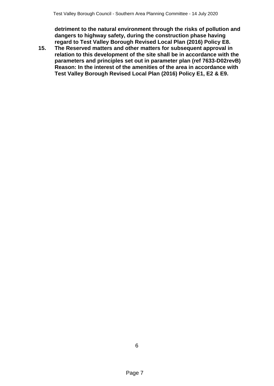**detriment to the natural environment through the risks of pollution and dangers to highway safety, during the construction phase having regard to Test Valley Borough Revised Local Plan (2016) Policy E8.**

**15. The Reserved matters and other matters for subsequent approval in relation to this development of the site shall be in accordance with the parameters and principles set out in parameter plan (ref 7633-D02revB) Reason: In the interest of the amenities of the area in accordance with Test Valley Borough Revised Local Plan (2016) Policy E1, E2 & E9.**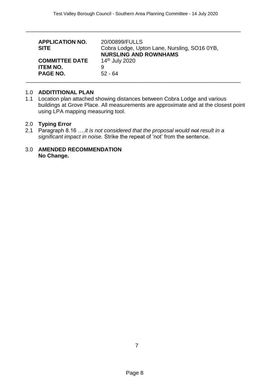\_\_\_\_\_\_\_\_\_\_\_\_\_\_\_\_\_\_\_\_\_\_\_\_\_\_\_\_\_\_\_\_\_\_\_\_\_\_\_\_\_\_\_\_\_\_\_\_\_\_\_\_\_\_\_\_\_\_\_\_\_\_\_\_\_\_\_\_\_\_

| <b>APPLICATION NO.</b><br><b>SITE</b> | 20/00899/FULLS<br>Cobra Lodge, Upton Lane, Nursling, SO16 0YB,<br><b>NURSLING AND ROWNHAMS</b> |
|---------------------------------------|------------------------------------------------------------------------------------------------|
| <b>COMMITTEE DATE</b>                 | 14 <sup>th</sup> July 2020                                                                     |
| <b>ITEM NO.</b>                       | 9                                                                                              |
| <b>PAGE NO.</b>                       | $52 - 64$                                                                                      |

#### 1.0 **ADDITITIONAL PLAN**

1.1 Location plan attached showing distances between Cobra Lodge and various buildings at Grove Place. All measurements are approximate and at the closest point using LPA mapping measuring tool.

#### 2.0 **Typing Error**

2.1 Paragraph 8.16 ….*it is not considered that the proposal would not result in a significant impact in noise.* Strike the repeat of 'not' from the sentence.

#### 3.0 **AMENDED RECOMMENDATION No Change.**